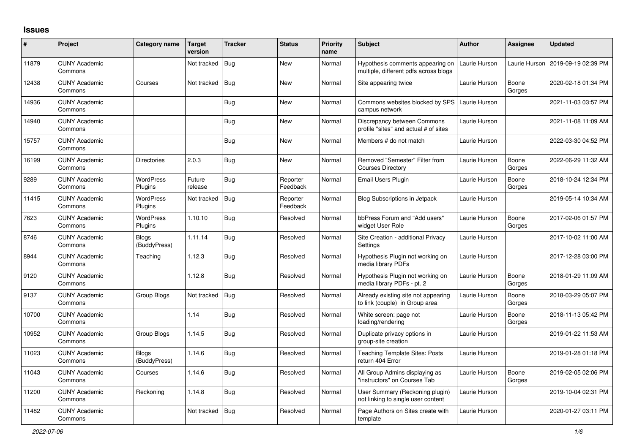## **Issues**

| $\vert$ # | Project                         | Category name                | <b>Target</b><br>version | <b>Tracker</b> | <b>Status</b>        | <b>Priority</b><br>name | <b>Subject</b>                                                            | <b>Author</b> | Assignee        | <b>Updated</b>      |
|-----------|---------------------------------|------------------------------|--------------------------|----------------|----------------------|-------------------------|---------------------------------------------------------------------------|---------------|-----------------|---------------------|
| 11879     | <b>CUNY Academic</b><br>Commons |                              | Not tracked              | Bug            | <b>New</b>           | Normal                  | Hypothesis comments appearing on<br>multiple, different pdfs across blogs | Laurie Hurson | Laurie Hurson   | 2019-09-19 02:39 PM |
| 12438     | <b>CUNY Academic</b><br>Commons | Courses                      | Not tracked              | Bug            | New                  | Normal                  | Site appearing twice                                                      | Laurie Hurson | Boone<br>Gorges | 2020-02-18 01:34 PM |
| 14936     | <b>CUNY Academic</b><br>Commons |                              |                          | <b>Bug</b>     | New                  | Normal                  | Commons websites blocked by SPS<br>campus network                         | Laurie Hurson |                 | 2021-11-03 03:57 PM |
| 14940     | <b>CUNY Academic</b><br>Commons |                              |                          | Bug            | New                  | Normal                  | Discrepancy between Commons<br>profile "sites" and actual # of sites      | Laurie Hurson |                 | 2021-11-08 11:09 AM |
| 15757     | <b>CUNY Academic</b><br>Commons |                              |                          | Bug            | <b>New</b>           | Normal                  | Members # do not match                                                    | Laurie Hurson |                 | 2022-03-30 04:52 PM |
| 16199     | <b>CUNY Academic</b><br>Commons | Directories                  | 2.0.3                    | Bug            | New                  | Normal                  | Removed "Semester" Filter from<br><b>Courses Directory</b>                | Laurie Hurson | Boone<br>Gorges | 2022-06-29 11:32 AM |
| 9289      | <b>CUNY Academic</b><br>Commons | WordPress<br>Plugins         | Future<br>release        | Bug            | Reporter<br>Feedback | Normal                  | Email Users Plugin                                                        | Laurie Hurson | Boone<br>Gorges | 2018-10-24 12:34 PM |
| 11415     | <b>CUNY Academic</b><br>Commons | WordPress<br>Plugins         | Not tracked              | Bug            | Reporter<br>Feedback | Normal                  | <b>Blog Subscriptions in Jetpack</b>                                      | Laurie Hurson |                 | 2019-05-14 10:34 AM |
| 7623      | <b>CUNY Academic</b><br>Commons | WordPress<br>Plugins         | 1.10.10                  | <b>Bug</b>     | Resolved             | Normal                  | bbPress Forum and "Add users"<br>widget User Role                         | Laurie Hurson | Boone<br>Gorges | 2017-02-06 01:57 PM |
| 8746      | <b>CUNY Academic</b><br>Commons | <b>Blogs</b><br>(BuddyPress) | 1.11.14                  | Bug            | Resolved             | Normal                  | Site Creation - additional Privacy<br>Settings                            | Laurie Hurson |                 | 2017-10-02 11:00 AM |
| 8944      | <b>CUNY Academic</b><br>Commons | Teaching                     | 1.12.3                   | <b>Bug</b>     | Resolved             | Normal                  | Hypothesis Plugin not working on<br>media library PDFs                    | Laurie Hurson |                 | 2017-12-28 03:00 PM |
| 9120      | <b>CUNY Academic</b><br>Commons |                              | 1.12.8                   | Bug            | Resolved             | Normal                  | Hypothesis Plugin not working on<br>media library PDFs - pt. 2            | Laurie Hurson | Boone<br>Gorges | 2018-01-29 11:09 AM |
| 9137      | <b>CUNY Academic</b><br>Commons | Group Blogs                  | Not tracked              | Bug            | Resolved             | Normal                  | Already existing site not appearing<br>to link (couple) in Group area     | Laurie Hurson | Boone<br>Gorges | 2018-03-29 05:07 PM |
| 10700     | <b>CUNY Academic</b><br>Commons |                              | 1.14                     | Bug            | Resolved             | Normal                  | White screen: page not<br>loading/rendering                               | Laurie Hurson | Boone<br>Gorges | 2018-11-13 05:42 PM |
| 10952     | <b>CUNY Academic</b><br>Commons | Group Blogs                  | 1.14.5                   | <b>Bug</b>     | Resolved             | Normal                  | Duplicate privacy options in<br>group-site creation                       | Laurie Hurson |                 | 2019-01-22 11:53 AM |
| 11023     | <b>CUNY Academic</b><br>Commons | Blogs<br>(BuddyPress)        | 1.14.6                   | <b>Bug</b>     | Resolved             | Normal                  | <b>Teaching Template Sites: Posts</b><br>return 404 Error                 | Laurie Hurson |                 | 2019-01-28 01:18 PM |
| 11043     | <b>CUNY Academic</b><br>Commons | Courses                      | 1.14.6                   | <b>Bug</b>     | Resolved             | Normal                  | All Group Admins displaying as<br>"instructors" on Courses Tab            | Laurie Hurson | Boone<br>Gorges | 2019-02-05 02:06 PM |
| 11200     | <b>CUNY Academic</b><br>Commons | Reckoning                    | 1.14.8                   | <b>Bug</b>     | Resolved             | Normal                  | User Summary (Reckoning plugin)<br>not linking to single user content     | Laurie Hurson |                 | 2019-10-04 02:31 PM |
| 11482     | <b>CUNY Academic</b><br>Commons |                              | Not tracked              | <b>Bug</b>     | Resolved             | Normal                  | Page Authors on Sites create with<br>template                             | Laurie Hurson |                 | 2020-01-27 03:11 PM |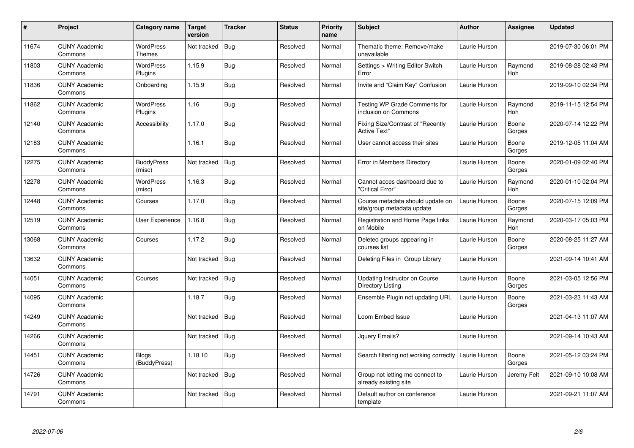| $\pmb{\#}$ | Project                         | Category name                | <b>Target</b><br>version | <b>Tracker</b> | <b>Status</b> | <b>Priority</b><br>name | <b>Subject</b>                                                 | <b>Author</b> | Assignee              | <b>Updated</b>      |
|------------|---------------------------------|------------------------------|--------------------------|----------------|---------------|-------------------------|----------------------------------------------------------------|---------------|-----------------------|---------------------|
| 11674      | <b>CUNY Academic</b><br>Commons | WordPress<br><b>Themes</b>   | Not tracked              | Bug            | Resolved      | Normal                  | Thematic theme: Remove/make<br>unavailable                     | Laurie Hurson |                       | 2019-07-30 06:01 PM |
| 11803      | <b>CUNY Academic</b><br>Commons | WordPress<br>Plugins         | 1.15.9                   | Bug            | Resolved      | Normal                  | Settings > Writing Editor Switch<br>Error                      | Laurie Hurson | Raymond<br>Hoh        | 2019-08-28 02:48 PM |
| 11836      | <b>CUNY Academic</b><br>Commons | Onboarding                   | 1.15.9                   | <b>Bug</b>     | Resolved      | Normal                  | Invite and "Claim Key" Confusion                               | Laurie Hurson |                       | 2019-09-10 02:34 PM |
| 11862      | <b>CUNY Academic</b><br>Commons | WordPress<br>Plugins         | 1.16                     | Bug            | Resolved      | Normal                  | Testing WP Grade Comments for<br>inclusion on Commons          | Laurie Hurson | Raymond<br>Hoh        | 2019-11-15 12:54 PM |
| 12140      | <b>CUNY Academic</b><br>Commons | Accessibility                | 1.17.0                   | Bug            | Resolved      | Normal                  | Fixing Size/Contrast of "Recently<br><b>Active Text"</b>       | Laurie Hurson | Boone<br>Gorges       | 2020-07-14 12:22 PM |
| 12183      | <b>CUNY Academic</b><br>Commons |                              | 1.16.1                   | Bug            | Resolved      | Normal                  | User cannot access their sites                                 | Laurie Hurson | Boone<br>Gorges       | 2019-12-05 11:04 AM |
| 12275      | <b>CUNY Academic</b><br>Commons | <b>BuddyPress</b><br>(misc)  | Not tracked              | <b>Bug</b>     | Resolved      | Normal                  | Error in Members Directory                                     | Laurie Hurson | Boone<br>Gorges       | 2020-01-09 02:40 PM |
| 12278      | <b>CUNY Academic</b><br>Commons | WordPress<br>(misc)          | 1.16.3                   | Bug            | Resolved      | Normal                  | Cannot acces dashboard due to<br>"Critical Error"              | Laurie Hurson | Raymond<br><b>Hoh</b> | 2020-01-10 02:04 PM |
| 12448      | <b>CUNY Academic</b><br>Commons | Courses                      | 1.17.0                   | <b>Bug</b>     | Resolved      | Normal                  | Course metadata should update on<br>site/group metadata update | Laurie Hurson | Boone<br>Gorges       | 2020-07-15 12:09 PM |
| 12519      | <b>CUNY Academic</b><br>Commons | User Experience              | 1.16.8                   | <b>Bug</b>     | Resolved      | Normal                  | Registration and Home Page links<br>on Mobile                  | Laurie Hurson | Raymond<br>Hoh        | 2020-03-17 05:03 PM |
| 13068      | <b>CUNY Academic</b><br>Commons | Courses                      | 1.17.2                   | Bug            | Resolved      | Normal                  | Deleted groups appearing in<br>courses list                    | Laurie Hurson | Boone<br>Gorges       | 2020-08-25 11:27 AM |
| 13632      | <b>CUNY Academic</b><br>Commons |                              | Not tracked              | <b>Bug</b>     | Resolved      | Normal                  | Deleting Files in Group Library                                | Laurie Hurson |                       | 2021-09-14 10:41 AM |
| 14051      | <b>CUNY Academic</b><br>Commons | Courses                      | Not tracked              | <b>Bug</b>     | Resolved      | Normal                  | Updating Instructor on Course<br>Directory Listing             | Laurie Hurson | Boone<br>Gorges       | 2021-03-05 12:56 PM |
| 14095      | <b>CUNY Academic</b><br>Commons |                              | 1.18.7                   | Bug            | Resolved      | Normal                  | Ensemble Plugin not updating URL                               | Laurie Hurson | Boone<br>Gorges       | 2021-03-23 11:43 AM |
| 14249      | <b>CUNY Academic</b><br>Commons |                              | Not tracked              | Bug            | Resolved      | Normal                  | Loom Embed Issue                                               | Laurie Hurson |                       | 2021-04-13 11:07 AM |
| 14266      | <b>CUNY Academic</b><br>Commons |                              | Not tracked              | <b>Bug</b>     | Resolved      | Normal                  | Jquery Emails?                                                 | Laurie Hurson |                       | 2021-09-14 10:43 AM |
| 14451      | <b>CUNY Academic</b><br>Commons | <b>Blogs</b><br>(BuddyPress) | 1.18.10                  | <b>Bug</b>     | Resolved      | Normal                  | Search filtering not working correctly                         | Laurie Hurson | Boone<br>Gorges       | 2021-05-12 03:24 PM |
| 14726      | <b>CUNY Academic</b><br>Commons |                              | Not tracked              | <b>Bug</b>     | Resolved      | Normal                  | Group not letting me connect to<br>already existing site       | Laurie Hurson | Jeremy Felt           | 2021-09-10 10:08 AM |
| 14791      | <b>CUNY Academic</b><br>Commons |                              | Not tracked              | Bug            | Resolved      | Normal                  | Default author on conference<br>template                       | Laurie Hurson |                       | 2021-09-21 11:07 AM |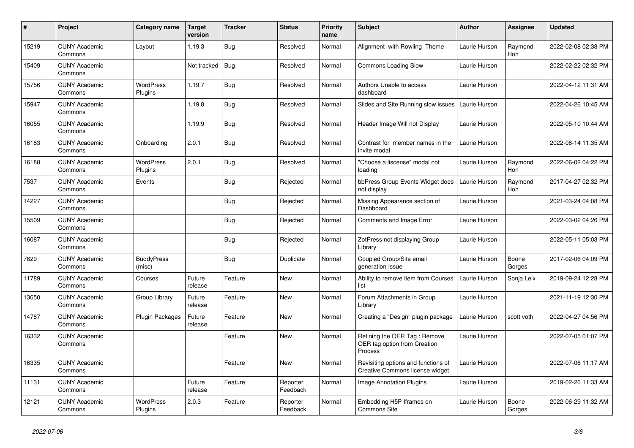| $\#$  | Project                         | Category name               | <b>Target</b><br>version | <b>Tracker</b> | <b>Status</b>        | <b>Priority</b><br>name | <b>Subject</b>                                                                | Author        | <b>Assignee</b> | <b>Updated</b>      |
|-------|---------------------------------|-----------------------------|--------------------------|----------------|----------------------|-------------------------|-------------------------------------------------------------------------------|---------------|-----------------|---------------------|
| 15219 | <b>CUNY Academic</b><br>Commons | Layout                      | 1.19.3                   | <b>Bug</b>     | Resolved             | Normal                  | Alignment with Rowling Theme                                                  | Laurie Hurson | Raymond<br>Hoh  | 2022-02-08 02:38 PM |
| 15409 | <b>CUNY Academic</b><br>Commons |                             | Not tracked              | <b>Bug</b>     | Resolved             | Normal                  | <b>Commons Loading Slow</b>                                                   | Laurie Hurson |                 | 2022-02-22 02:32 PM |
| 15756 | <b>CUNY Academic</b><br>Commons | WordPress<br>Plugins        | 1.19.7                   | Bug            | Resolved             | Normal                  | Authors Unable to access<br>dashboard                                         | Laurie Hurson |                 | 2022-04-12 11:31 AM |
| 15947 | <b>CUNY Academic</b><br>Commons |                             | 1.19.8                   | <b>Bug</b>     | Resolved             | Normal                  | Slides and Site Running slow issues                                           | Laurie Hurson |                 | 2022-04-26 10:45 AM |
| 16055 | <b>CUNY Academic</b><br>Commons |                             | 1.19.9                   | <b>Bug</b>     | Resolved             | Normal                  | Header Image Will not Display                                                 | Laurie Hurson |                 | 2022-05-10 10:44 AM |
| 16183 | <b>CUNY Academic</b><br>Commons | Onboarding                  | 2.0.1                    | <b>Bug</b>     | Resolved             | Normal                  | Contrast for member names in the<br>invite modal                              | Laurie Hurson |                 | 2022-06-14 11:35 AM |
| 16188 | <b>CUNY Academic</b><br>Commons | <b>WordPress</b><br>Plugins | 2.0.1                    | <b>Bug</b>     | Resolved             | Normal                  | "Choose a liscense" modal not<br>loading                                      | Laurie Hurson | Raymond<br>Hoh  | 2022-06-02 04:22 PM |
| 7537  | <b>CUNY Academic</b><br>Commons | Events                      |                          | <b>Bug</b>     | Rejected             | Normal                  | bbPress Group Events Widget does<br>not display                               | Laurie Hurson | Raymond<br>Hoh  | 2017-04-27 02:32 PM |
| 14227 | <b>CUNY Academic</b><br>Commons |                             |                          | <b>Bug</b>     | Rejected             | Normal                  | Missing Appearance section of<br>Dashboard                                    | Laurie Hurson |                 | 2021-03-24 04:08 PM |
| 15509 | <b>CUNY Academic</b><br>Commons |                             |                          | Bug            | Rejected             | Normal                  | Comments and Image Error                                                      | Laurie Hurson |                 | 2022-03-02 04:26 PM |
| 16087 | <b>CUNY Academic</b><br>Commons |                             |                          | <b>Bug</b>     | Rejected             | Normal                  | ZotPress not displaying Group<br>Library                                      | Laurie Hurson |                 | 2022-05-11 05:03 PM |
| 7629  | <b>CUNY Academic</b><br>Commons | <b>BuddyPress</b><br>(misc) |                          | Bug            | Duplicate            | Normal                  | Coupled Group/Site email<br>generation Issue                                  | Laurie Hurson | Boone<br>Gorges | 2017-02-06 04:09 PM |
| 11789 | <b>CUNY Academic</b><br>Commons | Courses                     | Future<br>release        | Feature        | <b>New</b>           | Normal                  | Ability to remove item from Courses<br>list                                   | Laurie Hurson | Sonja Leix      | 2019-09-24 12:28 PM |
| 13650 | <b>CUNY Academic</b><br>Commons | Group Library               | Future<br>release        | Feature        | <b>New</b>           | Normal                  | Forum Attachments in Group<br>Library                                         | Laurie Hurson |                 | 2021-11-19 12:30 PM |
| 14787 | <b>CUNY Academic</b><br>Commons | <b>Plugin Packages</b>      | Future<br>release        | Feature        | <b>New</b>           | Normal                  | Creating a "Design" plugin package                                            | Laurie Hurson | scott voth      | 2022-04-27 04:56 PM |
| 16332 | <b>CUNY Academic</b><br>Commons |                             |                          | Feature        | <b>New</b>           | Normal                  | Refining the OER Tag: Remove<br>OER tag option from Creation<br>Process       | Laurie Hurson |                 | 2022-07-05 01:07 PM |
| 16335 | <b>CUNY Academic</b><br>Commons |                             |                          | Feature        | <b>New</b>           | Normal                  | Revisiting options and functions of<br><b>Creative Commons license widget</b> | Laurie Hurson |                 | 2022-07-06 11:17 AM |
| 11131 | <b>CUNY Academic</b><br>Commons |                             | Future<br>release        | Feature        | Reporter<br>Feedback | Normal                  | <b>Image Annotation Plugins</b>                                               | Laurie Hurson |                 | 2019-02-26 11:33 AM |
| 12121 | <b>CUNY Academic</b><br>Commons | <b>WordPress</b><br>Plugins | 2.0.3                    | Feature        | Reporter<br>Feedback | Normal                  | Embedding H5P Iframes on<br><b>Commons Site</b>                               | Laurie Hurson | Boone<br>Gorges | 2022-06-29 11:32 AM |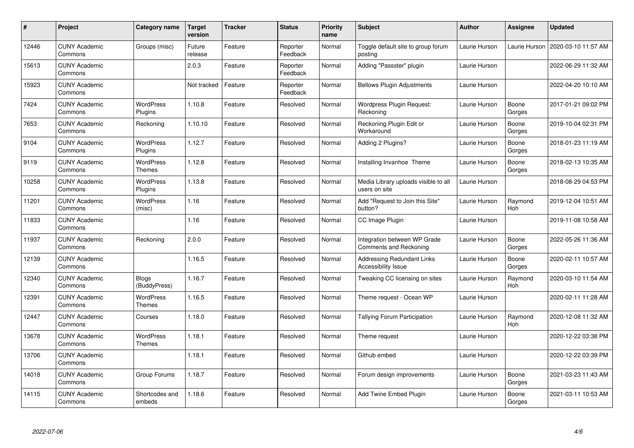| $\sharp$ | Project                         | Category name                     | <b>Target</b><br>version | <b>Tracker</b> | <b>Status</b>        | <b>Priority</b><br>name | <b>Subject</b>                                                  | <b>Author</b> | Assignee        | <b>Updated</b>      |
|----------|---------------------------------|-----------------------------------|--------------------------|----------------|----------------------|-------------------------|-----------------------------------------------------------------|---------------|-----------------|---------------------|
| 12446    | <b>CUNY Academic</b><br>Commons | Groups (misc)                     | Future<br>release        | Feature        | Reporter<br>Feedback | Normal                  | Toggle default site to group forum<br>posting                   | Laurie Hurson | Laurie Hurson   | 2020-03-10 11:57 AM |
| 15613    | <b>CUNY Academic</b><br>Commons |                                   | 2.0.3                    | Feature        | Reporter<br>Feedback | Normal                  | Adding "Passster" plugin                                        | Laurie Hurson |                 | 2022-06-29 11:32 AM |
| 15923    | <b>CUNY Academic</b><br>Commons |                                   | Not tracked              | Feature        | Reporter<br>Feedback | Normal                  | <b>Bellows Plugin Adjustments</b>                               | Laurie Hurson |                 | 2022-04-20 10:10 AM |
| 7424     | <b>CUNY Academic</b><br>Commons | WordPress<br>Plugins              | 1.10.8                   | Feature        | Resolved             | Normal                  | Wordpress Plugin Request:<br>Reckoning                          | Laurie Hurson | Boone<br>Gorges | 2017-01-21 09:02 PM |
| 7653     | <b>CUNY Academic</b><br>Commons | Reckoning                         | 1.10.10                  | Feature        | Resolved             | Normal                  | Reckoning Plugin Edit or<br>Workaround                          | Laurie Hurson | Boone<br>Gorges | 2019-10-04 02:31 PM |
| 9104     | <b>CUNY Academic</b><br>Commons | <b>WordPress</b><br>Plugins       | 1.12.7                   | Feature        | Resolved             | Normal                  | Adding 2 Plugins?                                               | Laurie Hurson | Boone<br>Gorges | 2018-01-23 11:19 AM |
| 9119     | <b>CUNY Academic</b><br>Commons | <b>WordPress</b><br>Themes        | 1.12.8                   | Feature        | Resolved             | Normal                  | Installing Invanhoe Theme                                       | Laurie Hurson | Boone<br>Gorges | 2018-02-13 10:35 AM |
| 10258    | <b>CUNY Academic</b><br>Commons | WordPress<br>Plugins              | 1.13.8                   | Feature        | Resolved             | Normal                  | Media Library uploads visible to all<br>users on site           | Laurie Hurson |                 | 2018-08-29 04:53 PM |
| 11201    | <b>CUNY Academic</b><br>Commons | <b>WordPress</b><br>(misc)        | 1.16                     | Feature        | Resolved             | Normal                  | Add "Request to Join this Site"<br>button?                      | Laurie Hurson | Raymond<br>Hoh  | 2019-12-04 10:51 AM |
| 11833    | <b>CUNY Academic</b><br>Commons |                                   | 1.16                     | Feature        | Resolved             | Normal                  | CC Image Plugin                                                 | Laurie Hurson |                 | 2019-11-08 10:58 AM |
| 11937    | <b>CUNY Academic</b><br>Commons | Reckoning                         | 2.0.0                    | Feature        | Resolved             | Normal                  | Integration between WP Grade<br><b>Comments and Reckoning</b>   | Laurie Hurson | Boone<br>Gorges | 2022-05-26 11:36 AM |
| 12139    | <b>CUNY Academic</b><br>Commons |                                   | 1.16.5                   | Feature        | Resolved             | Normal                  | <b>Addressing Redundant Links</b><br><b>Accessibility Issue</b> | Laurie Hurson | Boone<br>Gorges | 2020-02-11 10:57 AM |
| 12340    | <b>CUNY Academic</b><br>Commons | <b>Blogs</b><br>(BuddyPress)      | 1.16.7                   | Feature        | Resolved             | Normal                  | Tweaking CC licensing on sites                                  | Laurie Hurson | Raymond<br>Hoh  | 2020-03-10 11:54 AM |
| 12391    | <b>CUNY Academic</b><br>Commons | <b>WordPress</b><br>Themes        | 1.16.5                   | Feature        | Resolved             | Normal                  | Theme request - Ocean WP                                        | Laurie Hurson |                 | 2020-02-11 11:28 AM |
| 12447    | <b>CUNY Academic</b><br>Commons | Courses                           | 1.18.0                   | Feature        | Resolved             | Normal                  | <b>Tallying Forum Participation</b>                             | Laurie Hurson | Raymond<br>Hoh  | 2020-12-08 11:32 AM |
| 13678    | <b>CUNY Academic</b><br>Commons | <b>WordPress</b><br><b>Themes</b> | 1.18.1                   | Feature        | Resolved             | Normal                  | Theme request                                                   | Laurie Hurson |                 | 2020-12-22 03:38 PM |
| 13706    | <b>CUNY Academic</b><br>Commons |                                   | 1.18.1                   | Feature        | Resolved             | Normal                  | Github embed                                                    | Laurie Hurson |                 | 2020-12-22 03:39 PM |
| 14018    | <b>CUNY Academic</b><br>Commons | Group Forums                      | 1.18.7                   | Feature        | Resolved             | Normal                  | Forum design improvements                                       | Laurie Hurson | Boone<br>Gorges | 2021-03-23 11:43 AM |
| 14115    | <b>CUNY Academic</b><br>Commons | Shortcodes and<br>embeds          | 1.18.6                   | Feature        | Resolved             | Normal                  | Add Twine Embed Plugin                                          | Laurie Hurson | Boone<br>Gorges | 2021-03-11 10:53 AM |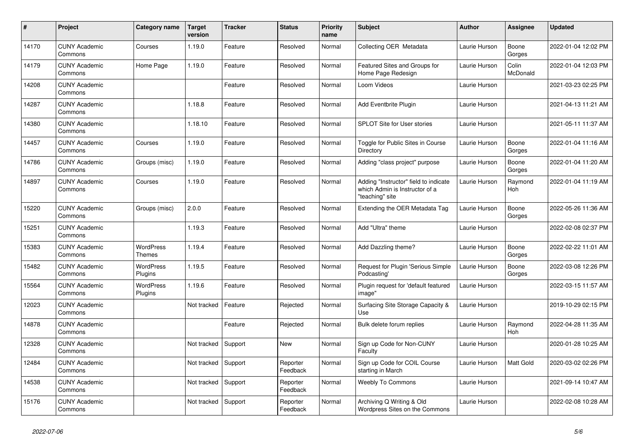| #     | Project                         | Category name              | <b>Target</b><br>version | <b>Tracker</b> | <b>Status</b>        | <b>Priority</b><br>name | <b>Subject</b>                                                                             | <b>Author</b> | <b>Assignee</b>   | <b>Updated</b>      |
|-------|---------------------------------|----------------------------|--------------------------|----------------|----------------------|-------------------------|--------------------------------------------------------------------------------------------|---------------|-------------------|---------------------|
| 14170 | <b>CUNY Academic</b><br>Commons | Courses                    | 1.19.0                   | Feature        | Resolved             | Normal                  | Collecting OER Metadata                                                                    | Laurie Hurson | Boone<br>Gorges   | 2022-01-04 12:02 PM |
| 14179 | <b>CUNY Academic</b><br>Commons | Home Page                  | 1.19.0                   | Feature        | Resolved             | Normal                  | Featured Sites and Groups for<br>Home Page Redesign                                        | Laurie Hurson | Colin<br>McDonald | 2022-01-04 12:03 PM |
| 14208 | <b>CUNY Academic</b><br>Commons |                            |                          | Feature        | Resolved             | Normal                  | Loom Videos                                                                                | Laurie Hurson |                   | 2021-03-23 02:25 PM |
| 14287 | <b>CUNY Academic</b><br>Commons |                            | 1.18.8                   | Feature        | Resolved             | Normal                  | Add Eventbrite Plugin                                                                      | Laurie Hurson |                   | 2021-04-13 11:21 AM |
| 14380 | <b>CUNY Academic</b><br>Commons |                            | 1.18.10                  | Feature        | Resolved             | Normal                  | <b>SPLOT Site for User stories</b>                                                         | Laurie Hurson |                   | 2021-05-11 11:37 AM |
| 14457 | <b>CUNY Academic</b><br>Commons | Courses                    | 1.19.0                   | Feature        | Resolved             | Normal                  | Toggle for Public Sites in Course<br>Directory                                             | Laurie Hurson | Boone<br>Gorges   | 2022-01-04 11:16 AM |
| 14786 | <b>CUNY Academic</b><br>Commons | Groups (misc)              | 1.19.0                   | Feature        | Resolved             | Normal                  | Adding "class project" purpose                                                             | Laurie Hurson | Boone<br>Gorges   | 2022-01-04 11:20 AM |
| 14897 | <b>CUNY Academic</b><br>Commons | Courses                    | 1.19.0                   | Feature        | Resolved             | Normal                  | Adding "Instructor" field to indicate<br>which Admin is Instructor of a<br>"teaching" site | Laurie Hurson | Raymond<br>Hoh    | 2022-01-04 11:19 AM |
| 15220 | <b>CUNY Academic</b><br>Commons | Groups (misc)              | 2.0.0                    | Feature        | Resolved             | Normal                  | Extending the OER Metadata Tag                                                             | Laurie Hurson | Boone<br>Gorges   | 2022-05-26 11:36 AM |
| 15251 | <b>CUNY Academic</b><br>Commons |                            | 1.19.3                   | Feature        | Resolved             | Normal                  | Add "Ultra" theme                                                                          | Laurie Hurson |                   | 2022-02-08 02:37 PM |
| 15383 | <b>CUNY Academic</b><br>Commons | <b>WordPress</b><br>Themes | 1.19.4                   | Feature        | Resolved             | Normal                  | Add Dazzling theme?                                                                        | Laurie Hurson | Boone<br>Gorges   | 2022-02-22 11:01 AM |
| 15482 | <b>CUNY Academic</b><br>Commons | WordPress<br>Plugins       | 1.19.5                   | Feature        | Resolved             | Normal                  | Request for Plugin 'Serious Simple<br>Podcasting'                                          | Laurie Hurson | Boone<br>Gorges   | 2022-03-08 12:26 PM |
| 15564 | <b>CUNY Academic</b><br>Commons | WordPress<br>Plugins       | 1.19.6                   | Feature        | Resolved             | Normal                  | Plugin request for 'default featured<br>image"                                             | Laurie Hurson |                   | 2022-03-15 11:57 AM |
| 12023 | <b>CUNY Academic</b><br>Commons |                            | Not tracked              | Feature        | Rejected             | Normal                  | Surfacing Site Storage Capacity &<br>Use                                                   | Laurie Hurson |                   | 2019-10-29 02:15 PM |
| 14878 | <b>CUNY Academic</b><br>Commons |                            |                          | Feature        | Rejected             | Normal                  | Bulk delete forum replies                                                                  | Laurie Hurson | Raymond<br>Hoh    | 2022-04-28 11:35 AM |
| 12328 | <b>CUNY Academic</b><br>Commons |                            | Not tracked              | Support        | <b>New</b>           | Normal                  | Sign up Code for Non-CUNY<br>Faculty                                                       | Laurie Hurson |                   | 2020-01-28 10:25 AM |
| 12484 | <b>CUNY Academic</b><br>Commons |                            | Not tracked              | Support        | Reporter<br>Feedback | Normal                  | Sign up Code for COIL Course<br>starting in March                                          | Laurie Hurson | Matt Gold         | 2020-03-02 02:26 PM |
| 14538 | <b>CUNY Academic</b><br>Commons |                            | Not tracked              | Support        | Reporter<br>Feedback | Normal                  | <b>Weebly To Commons</b>                                                                   | Laurie Hurson |                   | 2021-09-14 10:47 AM |
| 15176 | <b>CUNY Academic</b><br>Commons |                            | Not tracked              | Support        | Reporter<br>Feedback | Normal                  | Archiving Q Writing & Old<br>Wordpress Sites on the Commons                                | Laurie Hurson |                   | 2022-02-08 10:28 AM |